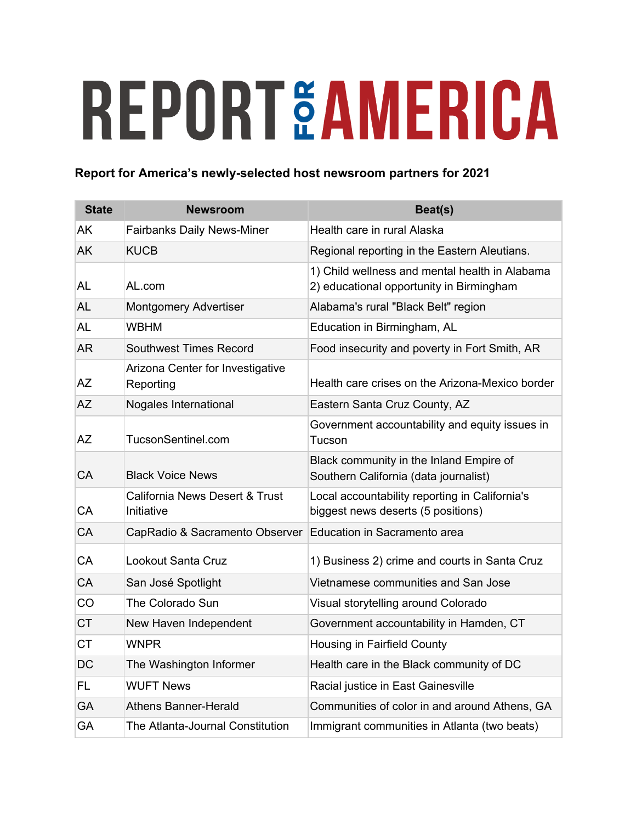## **REPORTÉAMERICA**

## **Report for America's newly-selected host newsroom partners for 2021**

| <b>State</b> | <b>Newsroom</b>                                         | Beat(s)                                                                                    |
|--------------|---------------------------------------------------------|--------------------------------------------------------------------------------------------|
| <b>AK</b>    | <b>Fairbanks Daily News-Miner</b>                       | Health care in rural Alaska                                                                |
| <b>AK</b>    | <b>KUCB</b>                                             | Regional reporting in the Eastern Aleutians.                                               |
| <b>AL</b>    | AL.com                                                  | 1) Child wellness and mental health in Alabama<br>2) educational opportunity in Birmingham |
| <b>AL</b>    | <b>Montgomery Advertiser</b>                            | Alabama's rural "Black Belt" region                                                        |
| <b>AL</b>    | <b>WBHM</b>                                             | Education in Birmingham, AL                                                                |
| <b>AR</b>    | <b>Southwest Times Record</b>                           | Food insecurity and poverty in Fort Smith, AR                                              |
| <b>AZ</b>    | Arizona Center for Investigative<br>Reporting           | Health care crises on the Arizona-Mexico border                                            |
| <b>AZ</b>    | Nogales International                                   | Eastern Santa Cruz County, AZ                                                              |
| <b>AZ</b>    | TucsonSentinel.com                                      | Government accountability and equity issues in<br>Tucson                                   |
| CA           | <b>Black Voice News</b>                                 | Black community in the Inland Empire of<br>Southern California (data journalist)           |
| <b>CA</b>    | <b>California News Desert &amp; Trust</b><br>Initiative | Local accountability reporting in California's<br>biggest news deserts (5 positions)       |
| CA           | CapRadio & Sacramento Observer                          | Education in Sacramento area                                                               |
| CA           | Lookout Santa Cruz                                      | 1) Business 2) crime and courts in Santa Cruz                                              |
| <b>CA</b>    | San José Spotlight                                      | Vietnamese communities and San Jose                                                        |
| CO           | The Colorado Sun                                        | Visual storytelling around Colorado                                                        |
| <b>CT</b>    | New Haven Independent                                   | Government accountability in Hamden, CT                                                    |
| <b>CT</b>    | <b>WNPR</b>                                             | Housing in Fairfield County                                                                |
| DC           | The Washington Informer                                 | Health care in the Black community of DC                                                   |
| <b>FL</b>    | <b>WUFT News</b>                                        | Racial justice in East Gainesville                                                         |
| <b>GA</b>    | <b>Athens Banner-Herald</b>                             | Communities of color in and around Athens, GA                                              |
| <b>GA</b>    | The Atlanta-Journal Constitution                        | Immigrant communities in Atlanta (two beats)                                               |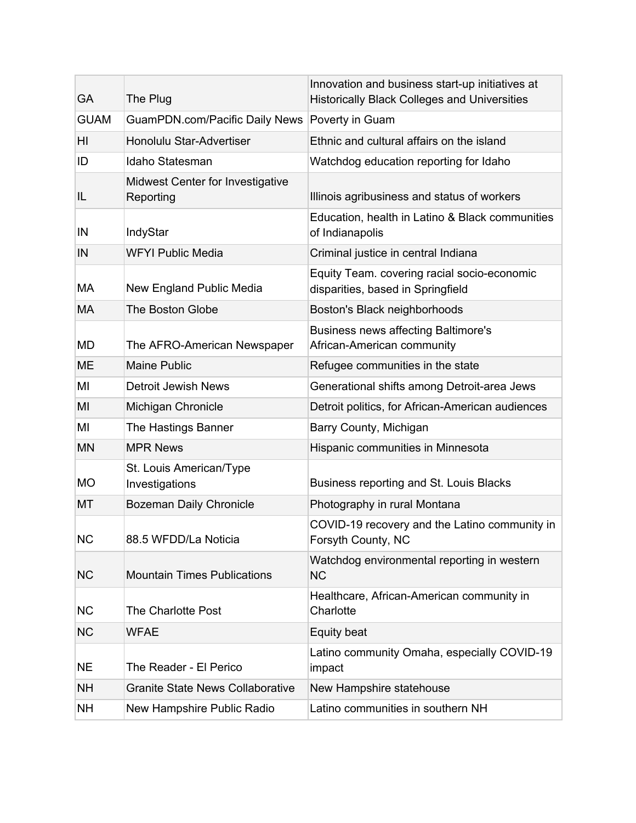| <b>GA</b>   | The Plug                                             | Innovation and business start-up initiatives at<br><b>Historically Black Colleges and Universities</b> |
|-------------|------------------------------------------------------|--------------------------------------------------------------------------------------------------------|
| <b>GUAM</b> | GuamPDN.com/Pacific Daily News                       | Poverty in Guam                                                                                        |
| HI          | Honolulu Star-Advertiser                             | Ethnic and cultural affairs on the island                                                              |
| ID          | Idaho Statesman                                      | Watchdog education reporting for Idaho                                                                 |
| IL          | <b>Midwest Center for Investigative</b><br>Reporting | Illinois agribusiness and status of workers                                                            |
| IN          | IndyStar                                             | Education, health in Latino & Black communities<br>of Indianapolis                                     |
| IN          | <b>WFYI Public Media</b>                             | Criminal justice in central Indiana                                                                    |
| МA          | New England Public Media                             | Equity Team. covering racial socio-economic<br>disparities, based in Springfield                       |
| <b>MA</b>   | The Boston Globe                                     | Boston's Black neighborhoods                                                                           |
| <b>MD</b>   | The AFRO-American Newspaper                          | <b>Business news affecting Baltimore's</b><br>African-American community                               |
| <b>ME</b>   | <b>Maine Public</b>                                  | Refugee communities in the state                                                                       |
| ΜI          | <b>Detroit Jewish News</b>                           | Generational shifts among Detroit-area Jews                                                            |
| MI          | Michigan Chronicle                                   | Detroit politics, for African-American audiences                                                       |
| MI          | The Hastings Banner                                  | Barry County, Michigan                                                                                 |
| <b>MN</b>   | <b>MPR News</b>                                      | Hispanic communities in Minnesota                                                                      |
| <b>MO</b>   | St. Louis American/Type<br>Investigations            | Business reporting and St. Louis Blacks                                                                |
| MT          | Bozeman Daily Chronicle                              | Photography in rural Montana                                                                           |
| <b>NC</b>   | 88.5 WFDD/La Noticia                                 | COVID-19 recovery and the Latino community in<br>Forsyth County, NC                                    |
| <b>NC</b>   | <b>Mountain Times Publications</b>                   | Watchdog environmental reporting in western<br><b>NC</b>                                               |
| <b>NC</b>   | The Charlotte Post                                   | Healthcare, African-American community in<br>Charlotte                                                 |
| <b>NC</b>   | <b>WFAE</b>                                          | Equity beat                                                                                            |
| <b>NE</b>   | The Reader - El Perico                               | Latino community Omaha, especially COVID-19<br>impact                                                  |
| <b>NH</b>   | <b>Granite State News Collaborative</b>              | New Hampshire statehouse                                                                               |
| <b>NH</b>   | New Hampshire Public Radio                           | Latino communities in southern NH                                                                      |